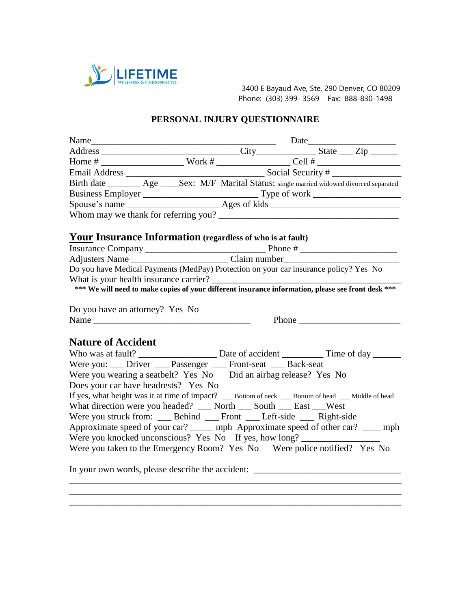

Phone: (303) 399- 3569 Fax: 888-830-1498

## **PERSONAL INJURY QUESTIONNAIRE**

| Birth date ________ Age _____Sex: M/F Marital Status: single married widowed divorced separated                                              |  |  |  |  |
|----------------------------------------------------------------------------------------------------------------------------------------------|--|--|--|--|
| Business Employer<br>Spouse's name<br><u>Ages</u> of kids<br><u>Ages of kids</u>                                                             |  |  |  |  |
|                                                                                                                                              |  |  |  |  |
|                                                                                                                                              |  |  |  |  |
| Your Insurance Information (regardless of who is at fault)                                                                                   |  |  |  |  |
|                                                                                                                                              |  |  |  |  |
|                                                                                                                                              |  |  |  |  |
| Do you have Medical Payments (MedPay) Protection on your car insurance policy? Yes No                                                        |  |  |  |  |
| What is your health insurance carrier?<br>*** We will need to make copies of your different insurance information, please see front desk *** |  |  |  |  |
|                                                                                                                                              |  |  |  |  |
|                                                                                                                                              |  |  |  |  |
| Do you have an attorney? Yes No                                                                                                              |  |  |  |  |
| Name                                                                                                                                         |  |  |  |  |
| <b>Nature of Accident</b>                                                                                                                    |  |  |  |  |
|                                                                                                                                              |  |  |  |  |
| Were you: ___ Driver ___ Passenger ___ Front-seat ___ Back-seat                                                                              |  |  |  |  |
| Were you wearing a seatbelt? Yes No    Did an airbag release? Yes No                                                                         |  |  |  |  |
| Does your car have headrests? Yes No                                                                                                         |  |  |  |  |
| If yes, what height was it at time of impact? __ Bottom of neck __ Bottom of head __ Middle of head                                          |  |  |  |  |
| What direction were you headed? __ North __ South __ East __West                                                                             |  |  |  |  |
| Were you struck from: ____ Behind ____ Front ____ Left-side ____ Right-side                                                                  |  |  |  |  |
| Approximate speed of your car? ______ mph Approximate speed of other car? _____ mph                                                          |  |  |  |  |
| Were you knocked unconscious? Yes No If yes, how long? __________________________                                                            |  |  |  |  |
| Were you taken to the Emergency Room? Yes No Were police notified? Yes No                                                                    |  |  |  |  |
| In your own words, please describe the accident: ________________________________                                                            |  |  |  |  |
|                                                                                                                                              |  |  |  |  |

\_\_\_\_\_\_\_\_\_\_\_\_\_\_\_\_\_\_\_\_\_\_\_\_\_\_\_\_\_\_\_\_\_\_\_\_\_\_\_\_\_\_\_\_\_\_\_\_\_\_\_\_\_\_\_\_\_\_\_\_\_\_\_\_\_\_\_\_\_\_\_\_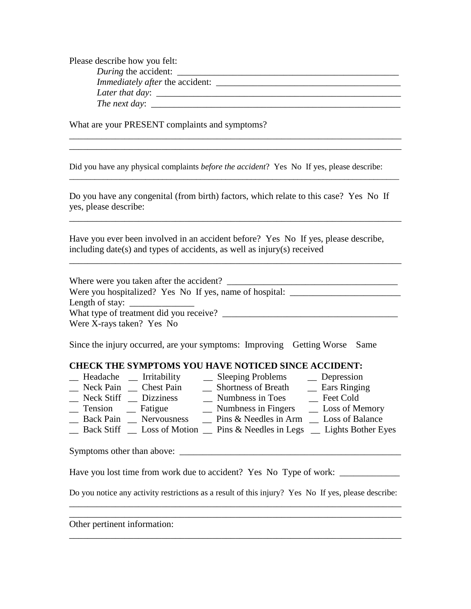Please describe how you felt: *During* the accident: \_\_\_\_\_\_\_\_\_\_\_\_\_\_\_\_\_\_\_\_\_\_\_\_\_\_\_\_\_\_\_\_\_\_\_\_\_\_\_\_\_\_\_\_\_\_\_\_ *Immediately after* the accident: *Later that day*: \_\_\_\_\_\_\_\_\_\_\_\_\_\_\_\_\_\_\_\_\_\_\_\_\_\_\_\_\_\_\_\_\_\_\_\_\_\_\_\_\_\_\_\_\_\_\_\_\_\_\_\_\_ *The next day*: \_\_\_\_\_\_\_\_\_\_\_\_\_\_\_\_\_\_\_\_\_\_\_\_\_\_\_\_\_\_\_\_\_\_\_\_\_\_\_\_\_\_\_\_\_\_\_\_\_\_\_\_\_\_

\_\_\_\_\_\_\_\_\_\_\_\_\_\_\_\_\_\_\_\_\_\_\_\_\_\_\_\_\_\_\_\_\_\_\_\_\_\_\_\_\_\_\_\_\_\_\_\_\_\_\_\_\_\_\_\_\_\_\_\_\_\_\_\_\_\_\_\_\_\_\_\_ \_\_\_\_\_\_\_\_\_\_\_\_\_\_\_\_\_\_\_\_\_\_\_\_\_\_\_\_\_\_\_\_\_\_\_\_\_\_\_\_\_\_\_\_\_\_\_\_\_\_\_\_\_\_\_\_\_\_\_\_\_\_\_\_\_\_\_\_\_\_\_\_

What are your PRESENT complaints and symptoms?

Did you have any physical complaints *before the accident*? Yes No If yes, please describe:

Do you have any congenital (from birth) factors, which relate to this case? Yes No If yes, please describe:

\_\_\_\_\_\_\_\_\_\_\_\_\_\_\_\_\_\_\_\_\_\_\_\_\_\_\_\_\_\_\_\_\_\_\_\_\_\_\_\_\_\_\_\_\_\_\_\_\_\_\_\_\_\_\_\_\_\_\_\_\_\_\_\_\_\_\_\_\_\_\_\_

\_\_\_\_\_\_\_\_\_\_\_\_\_\_\_\_\_\_\_\_\_\_\_\_\_\_\_\_\_\_\_\_\_\_\_\_\_\_\_\_\_\_\_\_\_\_\_\_\_\_\_\_\_\_\_\_\_\_\_\_\_\_\_\_\_\_\_\_\_\_\_\_

\_\_\_\_\_\_\_\_\_\_\_\_\_\_\_\_\_\_\_\_\_\_\_\_\_\_\_\_\_\_\_\_\_\_\_\_\_\_\_\_\_\_\_\_\_\_\_\_\_\_\_\_\_\_\_\_\_\_\_\_\_\_\_\_\_\_\_\_\_\_\_\_\_\_\_\_\_\_

Have you ever been involved in an accident before? Yes No If yes, please describe, including date(s) and types of accidents, as well as injury(s) received

Where were you taken after the accident? Were you hospitalized? Yes No If yes, name of hospital: \_\_\_\_\_\_\_\_\_\_\_\_\_\_\_\_\_\_\_\_\_\_\_\_\_ Length of stay:  $\frac{1}{\sqrt{2\pi}}$ What type of treatment did you receive? \_\_\_\_\_\_\_\_\_\_\_\_\_\_\_\_\_\_\_\_\_\_\_\_\_\_\_\_\_\_\_\_\_\_\_\_\_\_ Were X-rays taken? Yes No

Since the injury occurred, are your symptoms: Improving Getting Worse Same

## **CHECK THE SYMPTOMS YOU HAVE NOTICED SINCE ACCIDENT:**

| Headache<br>Irritability               | <b>Sleeping Problems</b>   | Depression          |
|----------------------------------------|----------------------------|---------------------|
| Neck Pain<br><b>Chest Pain</b>         | <b>Shortness of Breath</b> | <b>Ears Ringing</b> |
| Neck Stiff<br><b>Dizziness</b>         | Numbness in Toes           | Feet Cold           |
| Tension<br>Fatigue                     | Numbness in Fingers        | Loss of Memory      |
| <b>Back Pain</b><br><b>Nervousness</b> | Pins & Needles in Arm      | Loss of Balance     |

\_\_ Back Stiff \_\_ Loss of Motion \_\_ Pins & Needles in Legs \_\_ Lights Bother Eyes

Symptoms other than above: \_\_\_\_\_\_\_\_\_\_\_\_\_\_\_\_\_\_\_\_\_\_\_\_\_\_\_\_\_\_\_\_\_\_\_\_\_\_\_\_\_\_\_\_\_\_\_\_

Have you lost time from work due to accident? Yes No Type of work: \_\_\_\_\_\_\_\_\_\_\_\_\_

Do you notice any activity restrictions as a result of this injury? Yes No If yes, please describe: \_\_\_\_\_\_\_\_\_\_\_\_\_\_\_\_\_\_\_\_\_\_\_\_\_\_\_\_\_\_\_\_\_\_\_\_\_\_\_\_\_\_\_\_\_\_\_\_\_\_\_\_\_\_\_\_\_\_\_\_\_\_\_\_\_\_\_\_\_\_\_\_

\_\_\_\_\_\_\_\_\_\_\_\_\_\_\_\_\_\_\_\_\_\_\_\_\_\_\_\_\_\_\_\_\_\_\_\_\_\_\_\_\_\_\_\_\_\_\_\_\_\_\_\_\_\_\_\_\_\_\_\_\_\_\_\_\_\_\_\_\_\_\_\_

\_\_\_\_\_\_\_\_\_\_\_\_\_\_\_\_\_\_\_\_\_\_\_\_\_\_\_\_\_\_\_\_\_\_\_\_\_\_\_\_\_\_\_\_\_\_\_\_\_\_\_\_\_\_\_\_\_\_\_\_\_\_\_\_\_\_\_\_\_\_\_\_

Other pertinent information: